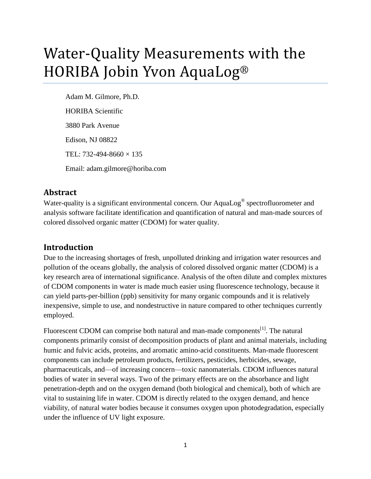# Water-Quality Measurements with the HORIBA Jobin Yvon AquaLog®

Adam M. Gilmore, Ph.D. HORIBA Scientific 3880 Park Avenue Edison, NJ 08822 TEL: 732-494-8660 × 135 Email: adam.gilmore@horiba.com

#### **Abstract**

Water-quality is a significant environmental concern. Our AquaLog<sup>®</sup> spectrofluorometer and analysis software facilitate identification and quantification of natural and man-made sources of colored dissolved organic matter (CDOM) for water quality.

#### **Introduction**

Due to the increasing shortages of fresh, unpolluted drinking and irrigation water resources and pollution of the oceans globally, the analysis of colored dissolved organic matter (CDOM) is a key research area of international significance. Analysis of the often dilute and complex mixtures of CDOM components in water is made much easier using fluorescence technology, because it can yield parts-per-billion (ppb) sensitivity for many organic compounds and it is relatively inexpensive, simple to use, and nondestructive in nature compared to other techniques currently employed.

Fluorescent CDOM can comprise both natural and man-made components<sup>[1]</sup>. The natural components primarily consist of decomposition products of plant and animal materials, including humic and fulvic acids, proteins, and aromatic amino-acid constituents. Man-made fluorescent components can include petroleum products, fertilizers, pesticides, herbicides, sewage, pharmaceuticals, and—of increasing concern—toxic nanomaterials. CDOM influences natural bodies of water in several ways. Two of the primary effects are on the absorbance and light penetration-depth and on the oxygen demand (both biological and chemical), both of which are vital to sustaining life in water. CDOM is directly related to the oxygen demand, and hence viability, of natural water bodies because it consumes oxygen upon photodegradation, especially under the influence of UV light exposure.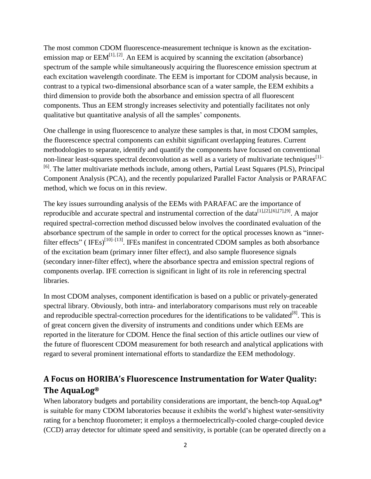The most common CDOM fluorescence-measurement technique is known as the excitationemission map or  $EEM^{[1],[2]}$ . An EEM is acquired by scanning the excitation (absorbance) spectrum of the sample while simultaneously acquiring the fluorescence emission spectrum at each excitation wavelength coordinate. The EEM is important for CDOM analysis because, in contrast to a typical two-dimensional absorbance scan of a water sample, the EEM exhibits a third dimension to provide both the absorbance and emission spectra of all fluorescent components. Thus an EEM strongly increases selectivity and potentially facilitates not only qualitative but quantitative analysis of all the samples' components.

One challenge in using fluorescence to analyze these samples is that, in most CDOM samples, the fluorescence spectral components can exhibit significant overlapping features. Current methodologies to separate, identify and quantify the components have focused on conventional non-linear least-squares spectral deconvolution as well as a variety of multivariate techniques<sup>[1]-</sup> <sup>[6]</sup>. The latter multivariate methods include, among others, Partial Least Squares (PLS), Principal Component Analysis (PCA), and the recently popularized Parallel Factor Analysis or PARAFAC method, which we focus on in this review.

The key issues surrounding analysis of the EEMs with PARAFAC are the importance of reproducible and accurate spectral and instrumental correction of the data<sup>[1],[2],[6],[7],[9]</sup>. A major required spectral-correction method discussed below involves the coordinated evaluation of the absorbance spectrum of the sample in order to correct for the optical processes known as "innerfilter effects" (IFEs)<sup>[10]–[13]</sup>. IFEs manifest in concentrated CDOM samples as both absorbance of the excitation beam (primary inner filter effect), and also sample fluoresence signals (secondary inner-filter effect), where the absorbance spectra and emission spectral regions of components overlap. IFE correction is significant in light of its role in referencing spectral libraries.

In most CDOM analyses, component identification is based on a public or privately-generated spectral library. Obviously, both intra- and interlaboratory comparisons must rely on traceable and reproducible spectral-correction procedures for the identifications to be validated<sup>[8]</sup>. This is of great concern given the diversity of instruments and conditions under which EEMs are reported in the literature for CDOM. Hence the final section of this article outlines our view of the future of fluorescent CDOM measurement for both research and analytical applications with regard to several prominent international efforts to standardize the EEM methodology.

## **A Focus on HORIBA's Fluorescence Instrumentation for Water Quality: The AquaLog®**

When laboratory budgets and portability considerations are important, the bench-top AquaLog<sup>®</sup> is suitable for many CDOM laboratories because it exhibits the world's highest water-sensitivity rating for a benchtop fluorometer; it employs a thermoelectrically-cooled charge-coupled device (CCD) array detector for ultimate speed and sensitivity, is portable (can be operated directly on a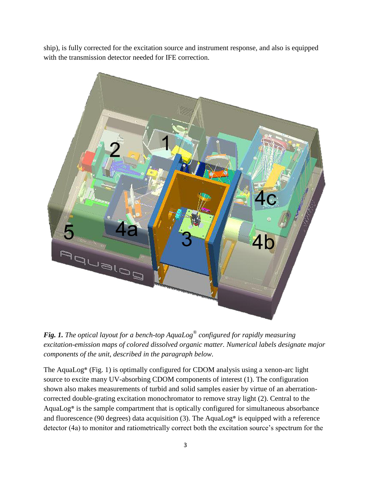ship), is fully corrected for the excitation source and instrument response, and also is equipped with the transmission detector needed for IFE correction.



*Fig. 1. The optical layout for a bench-top AquaLog® configured for rapidly measuring excitation-emission maps of colored dissolved organic matter. Numerical labels designate major components of the unit, described in the paragraph below.*

The AquaLog® (Fig. 1) is optimally configured for CDOM analysis using a xenon-arc light source to excite many UV-absorbing CDOM components of interest (1). The configuration shown also makes measurements of turbid and solid samples easier by virtue of an aberrationcorrected double-grating excitation monochromator to remove stray light (2). Central to the AquaLog® is the sample compartment that is optically configured for simultaneous absorbance and fluorescence (90 degrees) data acquisition (3). The AquaLog<sup>®</sup> is equipped with a reference detector (4a) to monitor and ratiometrically correct both the excitation source's spectrum for the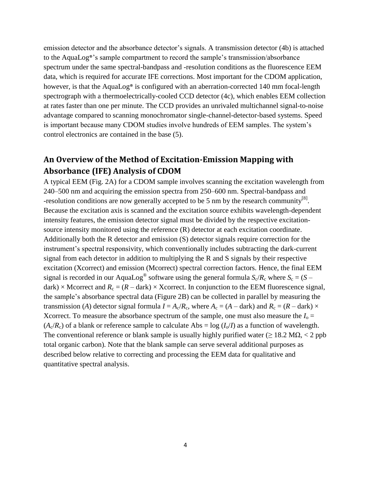emission detector and the absorbance detector's signals. A transmission detector (4b) is attached to the AquaLog®'s sample compartment to record the sample's transmission/absorbance spectrum under the same spectral-bandpass and -resolution conditions as the fluorescence EEM data, which is required for accurate IFE corrections. Most important for the CDOM application, however, is that the AquaLog<sup>®</sup> is configured with an aberration-corrected 140 mm focal-length spectrograph with a thermoelectrically-cooled CCD detector (4c), which enables EEM collection at rates faster than one per minute. The CCD provides an unrivaled multichannel signal-to-noise advantage compared to scanning monochromator single-channel-detector-based systems. Speed is important because many CDOM studies involve hundreds of EEM samples. The system's control electronics are contained in the base (5).

#### **An Overview of the Method of Excitation-Emission Mapping with Absorbance (IFE) Analysis of CDOM**

A typical EEM (Fig. 2A) for a CDOM sample involves scanning the excitation wavelength from 240–500 nm and acquiring the emission spectra from 250–600 nm. Spectral-bandpass and -resolution conditions are now generally accepted to be 5 nm by the research community<sup>[8]</sup>. Because the excitation axis is scanned and the excitation source exhibits wavelength-dependent intensity features, the emission detector signal must be divided by the respective excitationsource intensity monitored using the reference (R) detector at each excitation coordinate. Additionally both the R detector and emission (S) detector signals require correction for the instrument's spectral responsivity, which conventionally includes subtracting the dark-current signal from each detector in addition to multiplying the R and S signals by their respective excitation (Xcorrect) and emission (Mcorrect) spectral correction factors. Hence, the final EEM signal is recorded in our AquaLog<sup>®</sup> software using the general formula  $S_c/R_c$  where  $S_c = (S$ dark) × Mcorrect and  $R_c = (R - \text{dark}) \times X$ correct. In conjunction to the EEM fluorescence signal, the sample's absorbance spectral data (Figure 2B) can be collected in parallel by measuring the transmission (*A*) detector signal formula  $I = A_c/R_c$ , where  $A_c = (A - \text{dark})$  and  $R_c = (R - \text{dark}) \times$ Xcorrect. To measure the absorbance spectrum of the sample, one must also measure the  $I_0 =$  $(A_c/R_c)$  of a blank or reference sample to calculate Abs =  $log (I_o/I)$  as a function of wavelength. The conventional reference or blank sample is usually highly purified water ( $\geq 18.2$  M $\Omega$ ,  $\lt 2$  ppb total organic carbon). Note that the blank sample can serve several additional purposes as described below relative to correcting and processing the EEM data for qualitative and quantitative spectral analysis.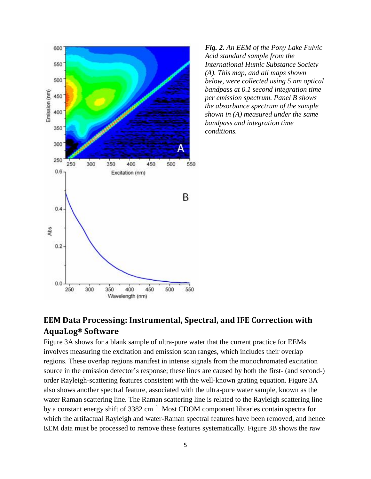

*Fig. 2. An EEM of the Pony Lake Fulvic Acid standard sample from the International Humic Substance Society (A). This map, and all maps shown below, were collected using 5 nm optical bandpass at 0.1 second integration time per emission spectrum. Panel B shows the absorbance spectrum of the sample shown in (A) measured under the same bandpass and integration time conditions.*

#### **EEM Data Processing: Instrumental, Spectral, and IFE Correction with AquaLog® Software**

Figure 3A shows for a blank sample of ultra-pure water that the current practice for EEMs involves measuring the excitation and emission scan ranges, which includes their overlap regions. These overlap regions manifest in intense signals from the monochromated excitation source in the emission detector's response; these lines are caused by both the first- (and second-) order Rayleigh-scattering features consistent with the well-known grating equation. Figure 3A also shows another spectral feature, associated with the ultra-pure water sample, known as the water Raman scattering line. The Raman scattering line is related to the Rayleigh scattering line by a constant energy shift of 3382  $cm^{-1}$ . Most CDOM component libraries contain spectra for which the artifactual Rayleigh and water-Raman spectral features have been removed, and hence EEM data must be processed to remove these features systematically. Figure 3B shows the raw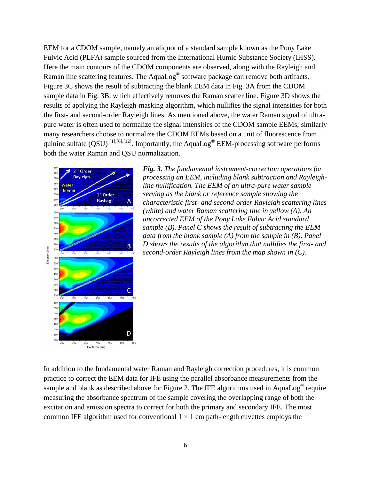EEM for a CDOM sample, namely an aliquot of a standard sample known as the Pony Lake Fulvic Acid (PLFA) sample sourced from the International Humic Substance Society (IHSS). Here the main contours of the CDOM components are observed, along with the Rayleigh and Raman line scattering features. The AquaLog® software package can remove both artifacts. Figure 3C shows the result of subtracting the blank EEM data in Fig. 3A from the CDOM sample data in Fig. 3B, which effectively removes the Raman scatter line. Figure 3D shows the results of applying the Rayleigh-masking algorithm, which nullifies the signal intensities for both the first- and second-order Rayleigh lines. As mentioned above, the water Raman signal of ultrapure water is often used to normalize the signal intensities of the CDOM sample EEMs; similarly many researchers choose to normalize the CDOM EEMs based on a unit of fluorescence from quinine sulfate (QSU)  $^{[1],[6],[12]}$ . Importantly, the AquaLog<sup>®</sup> EEM-processing software performs both the water Raman and QSU normalization.



*Fig. 3. The fundamental instrument-correction operations for processing an EEM, including blank subtraction and Rayleighline nullification. The EEM of an ultra-pure water sample serving as the blank or reference sample showing the characteristic first- and second-order Rayleigh scattering lines (white) and water Raman scattering line in yellow (A). An uncorrected EEM of the Pony Lake Fulvic Acid standard sample (B). Panel C shows the result of subtracting the EEM data from the blank sample (A) from the sample in (B). Panel D shows the results of the algorithm that nullifies the first- and second-order Rayleigh lines from the map shown in (C).*

In addition to the fundamental water Raman and Rayleigh correction procedures, it is common practice to correct the EEM data for IFE using the parallel absorbance measurements from the sample and blank as described above for Figure 2. The IFE algorithms used in AquaLog<sup>®</sup> require measuring the absorbance spectrum of the sample covering the overlapping range of both the excitation and emission spectra to correct for both the primary and secondary IFE. The most common IFE algorithm used for conventional  $1 \times 1$  cm path-length cuvettes employs the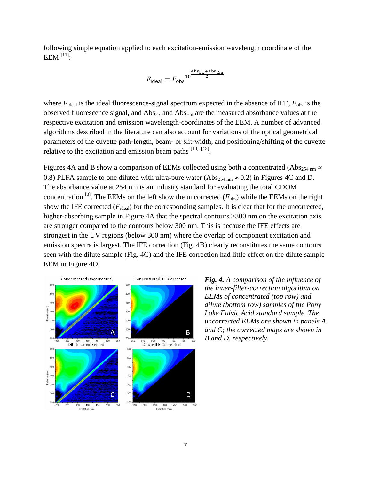following simple equation applied to each excitation-emission wavelength coordinate of the  $\text{EEM}$   $^{[11]}$ :

$$
F_{\text{ideal}} = F_{\text{obs}}^{10^{\frac{\text{Abs}_{\text{Ex}} + \text{Abs}_{\text{Em}}}{2}}}
$$

where  $F_{\text{ideal}}$  is the ideal fluorescence-signal spectrum expected in the absence of IFE,  $F_{\text{obs}}$  is the observed fluorescence signal, and  $\text{Abs}_{Ex}$  and  $\text{Abs}_{Em}$  are the measured absorbance values at the respective excitation and emission wavelength-coordinates of the EEM. A number of advanced algorithms described in the literature can also account for variations of the optical geometrical parameters of the cuvette path-length, beam- or slit-width, and positioning/shifting of the cuvette relative to the excitation and emission beam paths  $^{[10]-[13]}$ .

Figures 4A and B show a comparison of EEMs collected using both a concentrated (Abs<sub>254 nm</sub>  $\approx$ 0.8) PLFA sample to one diluted with ultra-pure water (Abs<sub>254 nm</sub>  $\approx$  0.2) in Figures 4C and D. The absorbance value at 254 nm is an industry standard for evaluating the total CDOM concentration <sup>[8]</sup>. The EEMs on the left show the uncorrected  $(F_{obs})$  while the EEMs on the right show the IFE corrected ( $F_{\text{ideal}}$ ) for the corresponding samples. It is clear that for the uncorrected, higher-absorbing sample in Figure 4A that the spectral contours >300 nm on the excitation axis are stronger compared to the contours below 300 nm. This is because the IFE effects are strongest in the UV regions (below 300 nm) where the overlap of component excitation and emission spectra is largest. The IFE correction (Fig. 4B) clearly reconstitutes the same contours seen with the dilute sample (Fig. 4C) and the IFE correction had little effect on the dilute sample EEM in Figure 4D.



*Fig. 4. A comparison of the influence of the inner-filter-correction algorithm on EEMs of concentrated (top row) and dilute (bottom row) samples of the Pony Lake Fulvic Acid standard sample. The uncorrected EEMs are shown in panels A and C; the corrected maps are shown in B and D, respectively.*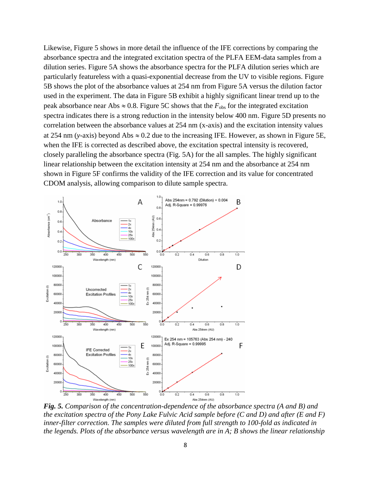Likewise, Figure 5 shows in more detail the influence of the IFE corrections by comparing the absorbance spectra and the integrated excitation spectra of the PLFA EEM-data samples from a dilution series. Figure 5A shows the absorbance spectra for the PLFA dilution series which are particularly featureless with a quasi-exponential decrease from the UV to visible regions. Figure 5B shows the plot of the absorbance values at 254 nm from Figure 5A versus the dilution factor used in the experiment. The data in Figure 5B exhibit a highly significant linear trend up to the peak absorbance near Abs  $\approx 0.8$ . Figure 5C shows that the  $F_{obs}$  for the integrated excitation spectra indicates there is a strong reduction in the intensity below 400 nm. Figure 5D presents no correlation between the absorbance values at 254 nm (x-axis) and the excitation intensity values at 254 nm (*y*-axis) beyond Abs  $\approx 0.2$  due to the increasing IFE. However, as shown in Figure 5E, when the IFE is corrected as described above, the excitation spectral intensity is recovered, closely paralleling the absorbance spectra (Fig. 5A) for the all samples. The highly significant linear relationship between the excitation intensity at 254 nm and the absorbance at 254 nm shown in Figure 5F confirms the validity of the IFE correction and its value for concentrated CDOM analysis, allowing comparison to dilute sample spectra.



*Fig. 5. Comparison of the concentration-dependence of the absorbance spectra (A and B) and the excitation spectra of the Pony Lake Fulvic Acid sample before (C and D) and after (E and F) inner-filter correction. The samples were diluted from full strength to 100-fold as indicated in the legends. Plots of the absorbance versus wavelength are in A; B shows the linear relationship*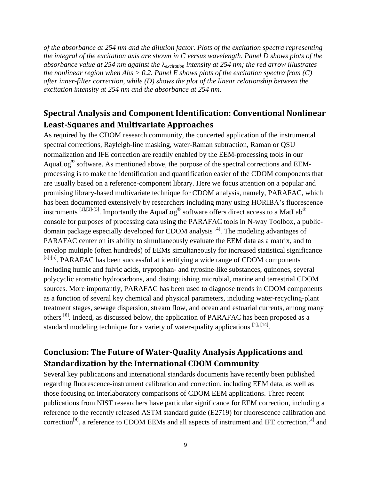*of the absorbance at 254 nm and the dilution factor. Plots of the excitation spectra representing the integral of the excitation axis are shown in C versus wavelength. Panel D shows plots of the absorbance value at 254 nm against the* λ*excitation intensity at 254 nm; the red arrow illustrates the nonlinear region when Abs > 0.2. Panel E shows plots of the excitation spectra from (C) after inner-filter correction, while (D) shows the plot of the linear relationship between the excitation intensity at 254 nm and the absorbance at 254 nm.*

### **Spectral Analysis and Component Identification: Conventional Nonlinear Least-Squares and Multivariate Approaches**

As required by the CDOM research community, the concerted application of the instrumental spectral corrections, Rayleigh-line masking, water-Raman subtraction, Raman or QSU normalization and IFE correction are readily enabled by the EEM-processing tools in our AquaLog<sup>®</sup> software. As mentioned above, the purpose of the spectral corrections and EEMprocessing is to make the identification and quantification easier of the CDOM components that are usually based on a reference-component library. Here we focus attention on a popular and promising library-based multivariate technique for CDOM analysis, namely, PARAFAC, which has been documented extensively by researchers including many using HORIBA's fluorescence instruments  $^{[1],[3]\text{-}[5]}$ . Importantly the AquaLog® software offers direct access to a MatLab® console for purposes of processing data using the PARAFAC tools in N-way Toolbox, a publicdomain package especially developed for CDOM analysis <sup>[4]</sup>. The modeling advantages of PARAFAC center on its ability to simultaneously evaluate the EEM data as a matrix, and to envelop multiple (often hundreds) of EEMs simultaneously for increased statistical significance  $^{[3]-[5]}$ . PARAFAC has been successful at identifying a wide range of CDOM components including humic and fulvic acids, tryptophan- and tyrosine-like substances, quinones, several polycyclic aromatic hydrocarbons, and distinguishing microbial, marine and terrestrial CDOM sources. More importantly, PARAFAC has been used to diagnose trends in CDOM components as a function of several key chemical and physical parameters, including water-recycling-plant treatment stages, sewage dispersion, stream flow, and ocean and estuarial currents, among many others <sup>[6]</sup>. Indeed, as discussed below, the application of PARAFAC has been proposed as a standard modeling technique for a variety of water-quality applications  $^{[1], [14]}$ .

### **Conclusion: The Future of Water-Quality Analysis Applications and Standardization by the International CDOM Community**

Several key publications and international standards documents have recently been published regarding fluorescence-instrument calibration and correction, including EEM data, as well as those focusing on interlaboratory comparisons of CDOM EEM applications. Three recent publications from NIST researchers have particular significance for EEM correction, including a reference to the recently released ASTM standard guide (E2719) for fluorescence calibration and correction<sup>[9]</sup>, a reference to CDOM EEMs and all aspects of instrument and IFE correction,<sup>[2]</sup> and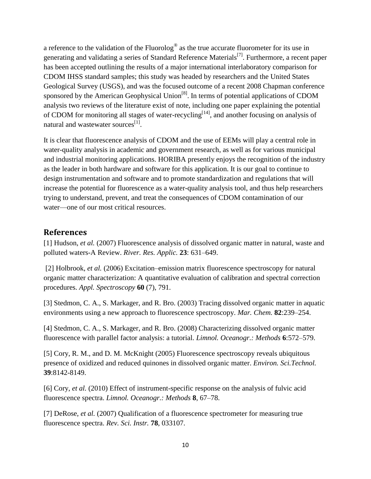a reference to the validation of the Fluorolog<sup>®</sup> as the true accurate fluorometer for its use in generating and validating a series of Standard Reference Materials<sup>[7]</sup>. Furthermore, a recent paper has been accepted outlining the results of a major international interlaboratory comparison for CDOM IHSS standard samples; this study was headed by researchers and the United States Geological Survey (USGS), and was the focused outcome of a recent 2008 Chapman conference sponsored by the American Geophysical Union<sup>[8]</sup>. In terms of potential applications of CDOM analysis two reviews of the literature exist of note, including one paper explaining the potential of CDOM for monitoring all stages of water-recycling<sup>[14]</sup>, and another focusing on analysis of natural and wastewater sources<sup>[1]</sup>.

It is clear that fluorescence analysis of CDOM and the use of EEMs will play a central role in water-quality analysis in academic and government research, as well as for various municipal and industrial monitoring applications. HORIBA presently enjoys the recognition of the industry as the leader in both hardware and software for this application. It is our goal to continue to design instrumentation and software and to promote standardization and regulations that will increase the potential for fluorescence as a water-quality analysis tool, and thus help researchers trying to understand, prevent, and treat the consequences of CDOM contamination of our water—one of our most critical resources.

#### **References**

[1] Hudson, *et al.* (2007) Fluorescence analysis of dissolved organic matter in natural, waste and polluted waters-A Review. *River. Res. Applic.* **23**: 631–649.

[2] Holbrook, *et al.* (2006) Excitation–emission matrix fluorescence spectroscopy for natural organic matter characterization: A quantitative evaluation of calibration and spectral correction procedures. *Appl. Spectroscopy* **60** (7), 791.

[3] Stedmon, C. A., S. Markager, and R. Bro. (2003) Tracing dissolved organic matter in aquatic environments using a new approach to fluorescence spectroscopy. *Mar. Chem.* **82**:239–254.

[4] Stedmon, C. A., S. Markager, and R. Bro. (2008) Characterizing dissolved organic matter fluorescence with parallel factor analysis: a tutorial. *Limnol. Oceanogr.: Methods* **6**:572–579.

[5] Cory, R. M., and D. M. McKnight (2005) Fluorescence spectroscopy reveals ubiquitous presence of oxidized and reduced quinones in dissolved organic matter. *Environ. Sci.Technol.* **39**:8142-8149.

[6] Cory, *et al.* (2010) Effect of instrument-specific response on the analysis of fulvic acid fluorescence spectra. *Limnol. Oceanogr.: Methods* **8**, 67–78.

[7] DeRose, *et al.* (2007) Qualification of a fluorescence spectrometer for measuring true fluorescence spectra. *Rev. Sci. Instr.* **78**, 033107.